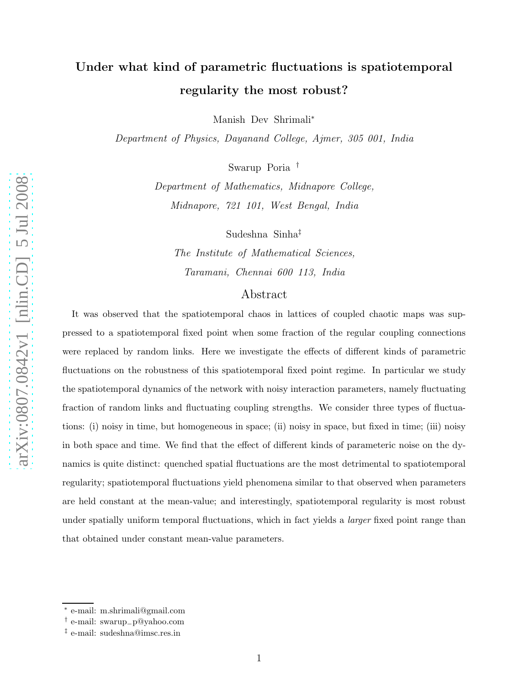# Under what kind of parametric fluctuations is spatiotempora l regularity the most robust?

Manish Dev Shrimali<sup>\*</sup>

Department of Physics, Dayanand College, Ajmer, 305 001, India

Swarup Poria †

Department of Mathematics, Midnapore College, Midnapore, 721 101, West Bengal, India

Sudeshna Sinha ‡

The Institute of Mathematical Sciences, Taramani, Chennai 600 113, India

### Abstract

It was observed that the spatiotemporal chaos in lattices of coupled chaotic maps was suppressed to a spatiotemporal fixed point when some fraction of the regular coupling connections were replaced by random links. Here we investigate the effects of different kinds of parametric fluctuations on the robustness of this spatiotemporal fixed point regime. In particular we study the spatiotemporal dynamics of the network with noisy interaction parameters, namely fluctuating fraction of random links and fluctuating coupling strengths. We consider three types of fluctuations: (i) noisy in time, but homogeneous in space; (ii) noisy in space, but fixed in time; (iii) noisy in both space and time. We find that the effect of different kinds of parameteric noise on the dynamics is quite distinct: quenched spatial fluctuations are the most detrimental to spatiotemporal regularity; spatiotemporal fluctuations yield phenomena similar to that observed when parameters are held constant at the mean-value; and interestingly, spatiotemporal regularity is most robust under spatially uniform temporal fluctuations, which in fact yields a *larger* fixed point range than that obtained under constant mean-value parameters.

<sup>∗</sup> e-mail: m.shrimali@gmail.com

<sup>†</sup> e-mail: swarup\_p@yahoo.com

<sup>‡</sup> e-mail: sudeshna@imsc.res.in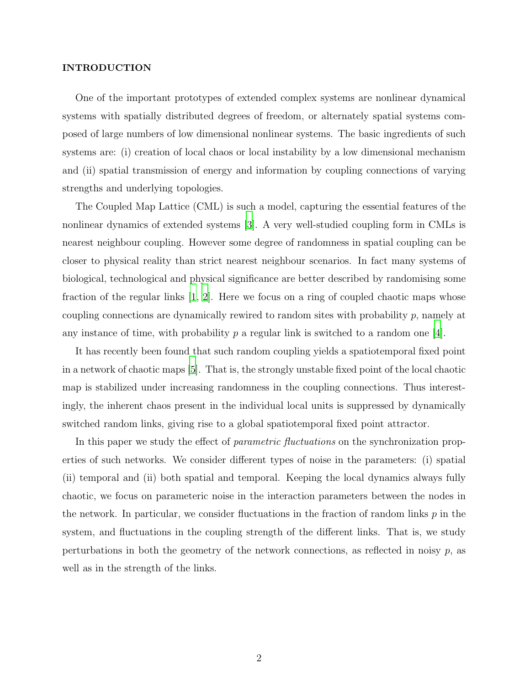#### INTRODUCTION

One of the important prototypes of extended complex systems are nonlinear dynamical systems with spatially distributed degrees of freedom, or alternately spatial systems composed of large numbers of low dimensional nonlinear systems. The basic ingredients of such systems are: (i) creation of local chaos or local instability by a low dimensional mechanism and (ii) spatial transmission of energy and information by coupling connections of varying strengths and underlying topologies.

The Coupled Map Lattice (CML) is such a model, capturing the essential features of the nonlinear dynamics of extended systems [\[3](#page-10-0)]. A very well-studied coupling form in CMLs is nearest neighbour coupling. However some degree of randomness in spatial coupling can be closer to physical reality than strict nearest neighbour scenarios. In fact many systems of biological, technological and physical significance are better described by randomising some fraction of the regular links [\[1,](#page-10-1) [2](#page-10-2)]. Here we focus on a ring of coupled chaotic maps whose coupling connections are dynamically rewired to random sites with probability  $p$ , namely at any instance of time, with probability  $p$  a regular link is switched to a random one [\[4\]](#page-10-3).

It has recently been found that such random coupling yields a spatiotemporal fixed point in a network of chaotic maps [\[5\]](#page-11-0). That is, the strongly unstable fixed point of the local chaotic map is stabilized under increasing randomness in the coupling connections. Thus interestingly, the inherent chaos present in the individual local units is suppressed by dynamically switched random links, giving rise to a global spatiotemporal fixed point attractor.

In this paper we study the effect of *parametric fluctuations* on the synchronization properties of such networks. We consider different types of noise in the parameters: (i) spatial (ii) temporal and (ii) both spatial and temporal. Keeping the local dynamics always fully chaotic, we focus on parameteric noise in the interaction parameters between the nodes in the network. In particular, we consider fluctuations in the fraction of random links  $p$  in the system, and fluctuations in the coupling strength of the different links. That is, we study perturbations in both the geometry of the network connections, as reflected in noisy  $p$ , as well as in the strength of the links.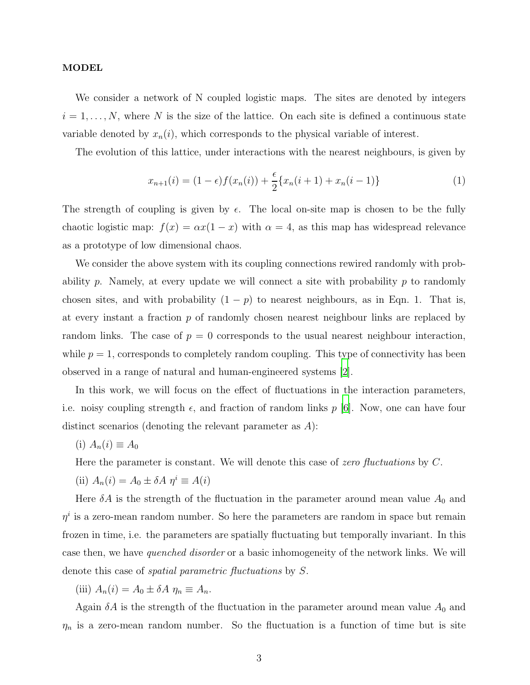#### MODEL

We consider a network of N coupled logistic maps. The sites are denoted by integers  $i = 1, \ldots, N$ , where N is the size of the lattice. On each site is defined a continuous state variable denoted by  $x_n(i)$ , which corresponds to the physical variable of interest.

The evolution of this lattice, under interactions with the nearest neighbours, is given by

$$
x_{n+1}(i) = (1 - \epsilon)f(x_n(i)) + \frac{\epsilon}{2} \{x_n(i+1) + x_n(i-1)\}
$$
 (1)

The strength of coupling is given by  $\epsilon$ . The local on-site map is chosen to be the fully chaotic logistic map:  $f(x) = \alpha x(1-x)$  with  $\alpha = 4$ , as this map has widespread relevance as a prototype of low dimensional chaos.

We consider the above system with its coupling connections rewired randomly with probability  $p$ . Namely, at every update we will connect a site with probability  $p$  to randomly chosen sites, and with probability  $(1 - p)$  to nearest neighbours, as in Eqn. 1. That is, at every instant a fraction  $p$  of randomly chosen nearest neighbour links are replaced by random links. The case of  $p = 0$  corresponds to the usual nearest neighbour interaction, while  $p = 1$ , corresponds to completely random coupling. This type of connectivity has been observed in a range of natural and human-engineered systems [\[2\]](#page-10-2).

In this work, we will focus on the effect of fluctuations in the interaction parameters, i.e. noisy coupling strength  $\epsilon$ , and fraction of random links p [\[6\]](#page-11-1). Now, one can have four distinct scenarios (denoting the relevant parameter as A):

$$
(i) A_n(i) \equiv A_0
$$

Here the parameter is constant. We will denote this case of zero fluctuations by C.

(ii) 
$$
A_n(i) = A_0 \pm \delta A \eta^i \equiv A(i)
$$

Here  $\delta A$  is the strength of the fluctuation in the parameter around mean value  $A_0$  and  $\eta^i$  is a zero-mean random number. So here the parameters are random in space but remain frozen in time, i.e. the parameters are spatially fluctuating but temporally invariant. In this case then, we have quenched disorder or a basic inhomogeneity of the network links. We will denote this case of spatial parametric fluctuations by S.

(iii)  $A_n(i) = A_0 \pm \delta A \eta_n \equiv A_n$ .

Again  $\delta A$  is the strength of the fluctuation in the parameter around mean value  $A_0$  and  $\eta_n$  is a zero-mean random number. So the fluctuation is a function of time but is site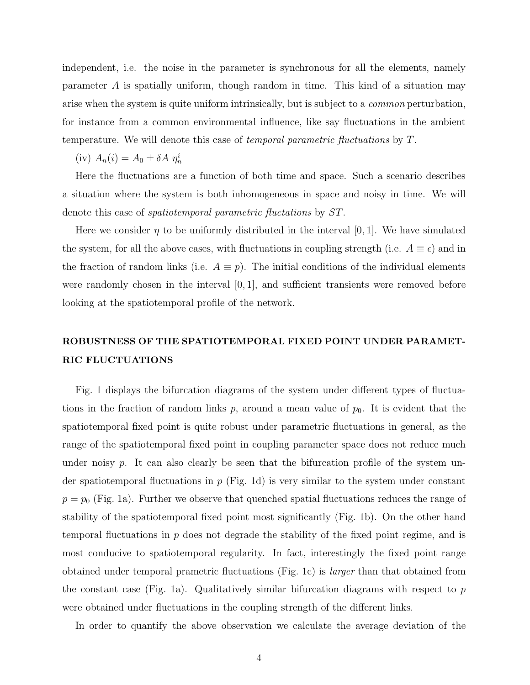independent, i.e. the noise in the parameter is synchronous for all the elements, namely parameter A is spatially uniform, though random in time. This kind of a situation may arise when the system is quite uniform intrinsically, but is subject to a common perturbation, for instance from a common environmental influence, like say fluctuations in the ambient temperature. We will denote this case of temporal parametric fluctuations by T.

(iv)  $A_n(i) = A_0 \pm \delta A \eta_n^i$ 

Here the fluctuations are a function of both time and space. Such a scenario describes a situation where the system is both inhomogeneous in space and noisy in time. We will denote this case of spatiotemporal parametric fluctations by ST.

Here we consider  $\eta$  to be uniformly distributed in the interval [0, 1]. We have simulated the system, for all the above cases, with fluctuations in coupling strength (i.e.  $A \equiv \epsilon$ ) and in the fraction of random links (i.e.  $A \equiv p$ ). The initial conditions of the individual elements were randomly chosen in the interval  $[0, 1]$ , and sufficient transients were removed before looking at the spatiotemporal profile of the network.

## ROBUSTNESS OF THE SPATIOTEMPORAL FIXED POINT UNDER PARAMET-RIC FLUCTUATIONS

Fig. 1 displays the bifurcation diagrams of the system under different types of fluctuations in the fraction of random links  $p$ , around a mean value of  $p_0$ . It is evident that the spatiotemporal fixed point is quite robust under parametric fluctuations in general, as the range of the spatiotemporal fixed point in coupling parameter space does not reduce much under noisy  $p$ . It can also clearly be seen that the bifurcation profile of the system under spatiotemporal fluctuations in  $p$  (Fig. 1d) is very similar to the system under constant  $p = p_0$  (Fig. 1a). Further we observe that quenched spatial fluctuations reduces the range of stability of the spatiotemporal fixed point most significantly (Fig. 1b). On the other hand temporal fluctuations in p does not degrade the stability of the fixed point regime, and is most conducive to spatiotemporal regularity. In fact, interestingly the fixed point range obtained under temporal prametric fluctuations (Fig. 1c) is larger than that obtained from the constant case (Fig. 1a). Qualitatively similar bifurcation diagrams with respect to  $p$ were obtained under fluctuations in the coupling strength of the different links.

In order to quantify the above observation we calculate the average deviation of the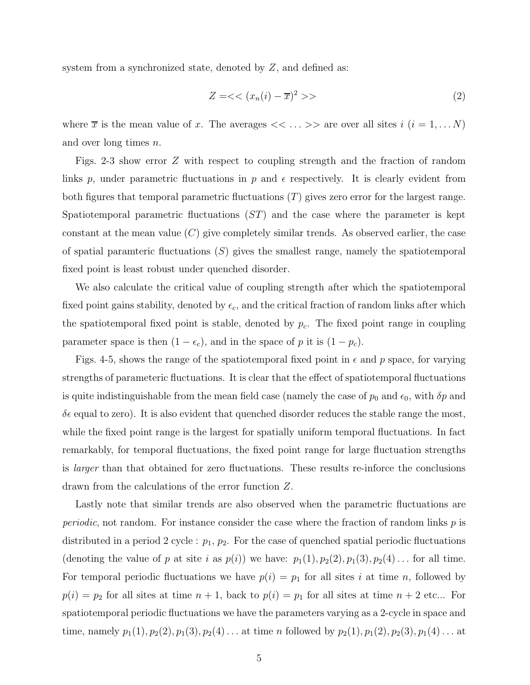system from a synchronized state, denoted by Z, and defined as:

$$
Z = \langle x_n(i) - \overline{x} \rangle^2 \rangle \tag{2}
$$

where  $\overline{x}$  is the mean value of x. The averages  $\langle \langle \ldots \rangle \rangle$  are over all sites  $i$   $(i = 1, \ldots N)$ and over long times n.

Figs. 2-3 show error Z with respect to coupling strength and the fraction of random links p, under parametric fluctuations in p and  $\epsilon$  respectively. It is clearly evident from both figures that temporal parametric fluctuations  $(T)$  gives zero error for the largest range. Spatiotemporal parametric fluctuations  $(ST)$  and the case where the parameter is kept constant at the mean value  $(C)$  give completely similar trends. As observed earlier, the case of spatial paramteric fluctuations  $(S)$  gives the smallest range, namely the spatiotemporal fixed point is least robust under quenched disorder.

We also calculate the critical value of coupling strength after which the spatiotemporal fixed point gains stability, denoted by  $\epsilon_c$ , and the critical fraction of random links after which the spatiotemporal fixed point is stable, denoted by  $p_c$ . The fixed point range in coupling parameter space is then  $(1 - \epsilon_c)$ , and in the space of p it is  $(1 - p_c)$ .

Figs. 4-5, shows the range of the spatiotemporal fixed point in  $\epsilon$  and p space, for varying strengths of parameteric fluctuations. It is clear that the effect of spatiotemporal fluctuations is quite indistinguishable from the mean field case (namely the case of  $p_0$  and  $\epsilon_0$ , with  $\delta p$  and  $\delta \epsilon$  equal to zero). It is also evident that quenched disorder reduces the stable range the most, while the fixed point range is the largest for spatially uniform temporal fluctuations. In fact remarkably, for temporal fluctuations, the fixed point range for large fluctuation strengths is larger than that obtained for zero fluctuations. These results re-inforce the conclusions drawn from the calculations of the error function Z.

Lastly note that similar trends are also observed when the parametric fluctuations are *periodic*, not random. For instance consider the case where the fraction of random links  $p$  is distributed in a period 2 cycle :  $p_1$ ,  $p_2$ . For the case of quenched spatial periodic fluctuations (denoting the value of p at site i as  $p(i)$ ) we have:  $p_1(1), p_2(2), p_1(3), p_2(4) \dots$  for all time. For temporal periodic fluctuations we have  $p(i) = p_1$  for all sites i at time n, followed by  $p(i) = p_2$  for all sites at time  $n + 1$ , back to  $p(i) = p_1$  for all sites at time  $n + 2$  etc... For spatiotemporal periodic fluctuations we have the parameters varying as a 2-cycle in space and time, namely  $p_1(1), p_2(2), p_1(3), p_2(4) \ldots$  at time n followed by  $p_2(1), p_1(2), p_2(3), p_1(4) \ldots$  at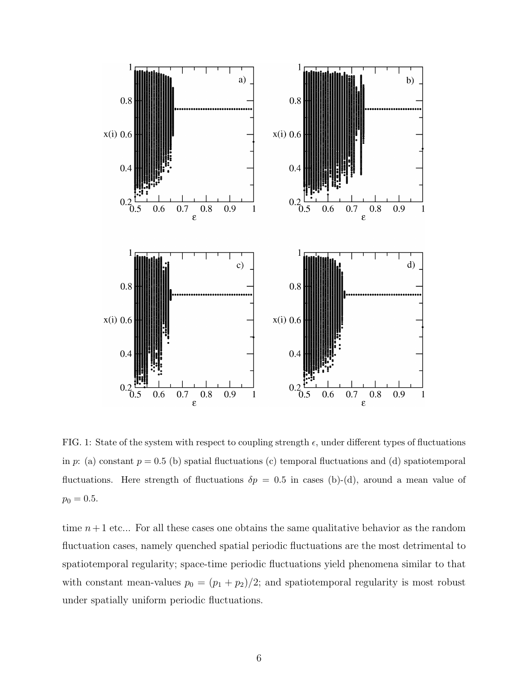

FIG. 1: State of the system with respect to coupling strength  $\epsilon$ , under different types of fluctuations in p: (a) constant  $p = 0.5$  (b) spatial fluctuations (c) temporal fluctuations and (d) spatiotemporal fluctuations. Here strength of fluctuations  $\delta p = 0.5$  in cases (b)-(d), around a mean value of  $p_0 = 0.5.$ 

time  $n+1$  etc... For all these cases one obtains the same qualitative behavior as the random fluctuation cases, namely quenched spatial periodic fluctuations are the most detrimental to spatiotemporal regularity; space-time periodic fluctuations yield phenomena similar to that with constant mean-values  $p_0 = (p_1 + p_2)/2$ ; and spatiotemporal regularity is most robust under spatially uniform periodic fluctuations.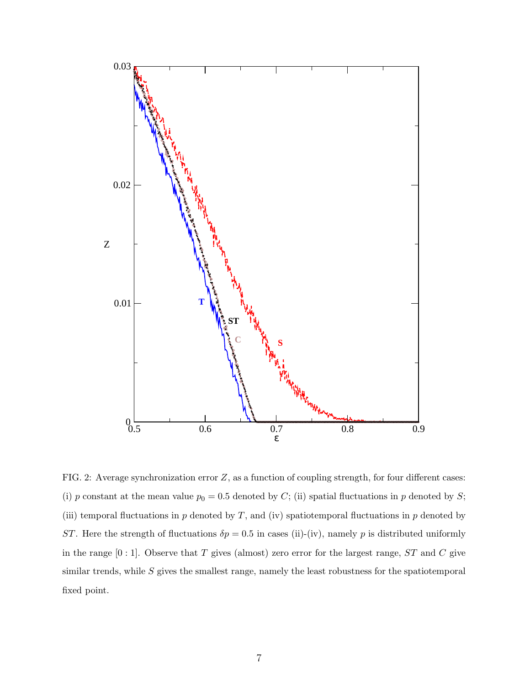

FIG. 2: Average synchronization error  $Z$ , as a function of coupling strength, for four different cases: (i) p constant at the mean value  $p_0 = 0.5$  denoted by C; (ii) spatial fluctuations in p denoted by S; (iii) temporal fluctuations in  $p$  denoted by  $T$ , and (iv) spatiotemporal fluctuations in  $p$  denoted by ST. Here the strength of fluctuations  $\delta p = 0.5$  in cases (ii)-(iv), namely p is distributed uniformly in the range  $[0:1]$ . Observe that T gives (almost) zero error for the largest range,  $ST$  and C give similar trends, while  $S$  gives the smallest range, namely the least robustness for the spatiotemporal fixed point.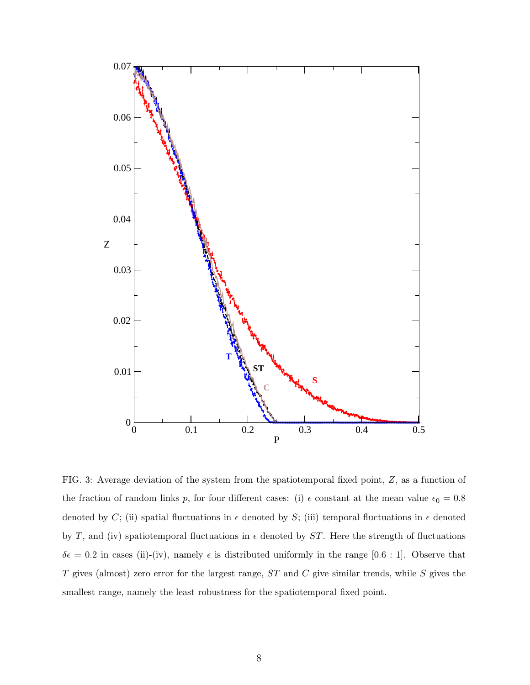

FIG. 3: Average deviation of the system from the spatiotemporal fixed point, Z, as a function of the fraction of random links p, for four different cases: (i)  $\epsilon$  constant at the mean value  $\epsilon_0 = 0.8$ denoted by C; (ii) spatial fluctuations in  $\epsilon$  denoted by S; (iii) temporal fluctuations in  $\epsilon$  denoted by T, and (iv) spatiotemporal fluctuations in  $\epsilon$  denoted by ST. Here the strength of fluctuations  $\delta \epsilon = 0.2$  in cases (ii)-(iv), namely  $\epsilon$  is distributed uniformly in the range [0.6 : 1]. Observe that T gives (almost) zero error for the largest range,  $ST$  and  $C$  give similar trends, while  $S$  gives the smallest range, namely the least robustness for the spatiotemporal fixed point.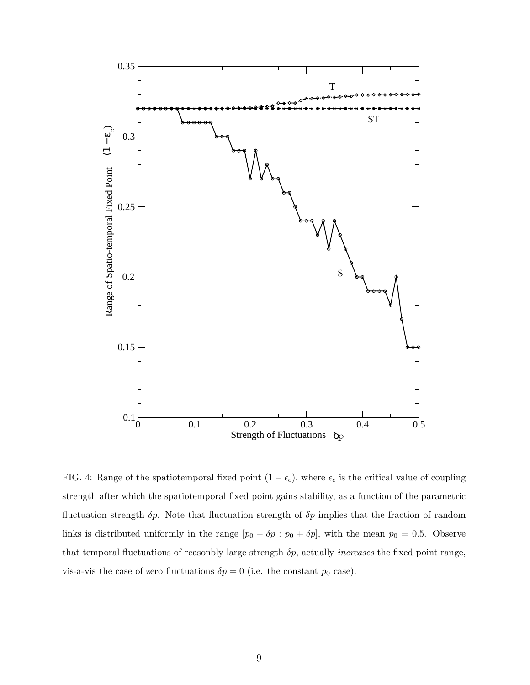

FIG. 4: Range of the spatiotemporal fixed point  $(1 - \epsilon_c)$ , where  $\epsilon_c$  is the critical value of coupling strength after which the spatiotemporal fixed point gains stability, as a function of the parametric fluctuation strength  $\delta p$ . Note that fluctuation strength of  $\delta p$  implies that the fraction of random links is distributed uniformly in the range  $[p_0 - \delta p : p_0 + \delta p]$ , with the mean  $p_0 = 0.5$ . Observe that temporal fluctuations of reasonbly large strength  $\delta p$ , actually *increases* the fixed point range, vis-a-vis the case of zero fluctuations  $\delta p = 0$  (i.e. the constant  $p_0$  case).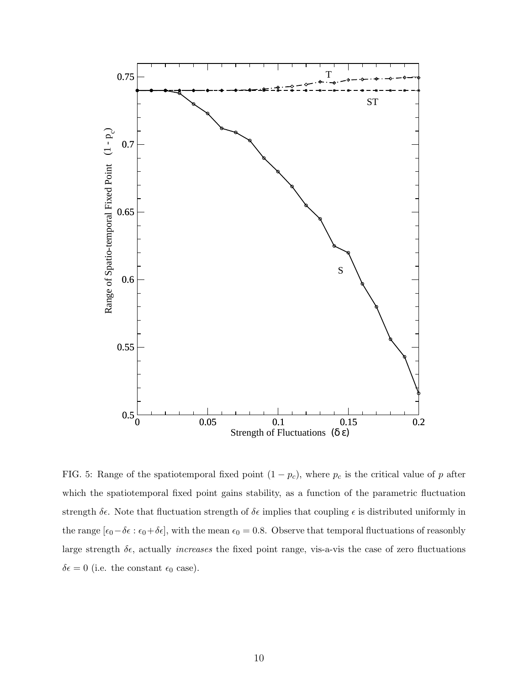

FIG. 5: Range of the spatiotemporal fixed point  $(1 - p_c)$ , where  $p_c$  is the critical value of p after which the spatiotemporal fixed point gains stability, as a function of the parametric fluctuation strength  $\delta \epsilon$ . Note that fluctuation strength of  $\delta \epsilon$  implies that coupling  $\epsilon$  is distributed uniformly in the range  $[\epsilon_0-\delta\epsilon:\epsilon_0+\delta\epsilon]$ , with the mean  $\epsilon_0=0.8$ . Observe that temporal fluctuations of reasonbly large strength  $\delta \epsilon$ , actually *increases* the fixed point range, vis-a-vis the case of zero fluctuations  $\delta \epsilon = 0$  (i.e. the constant  $\epsilon_0$  case).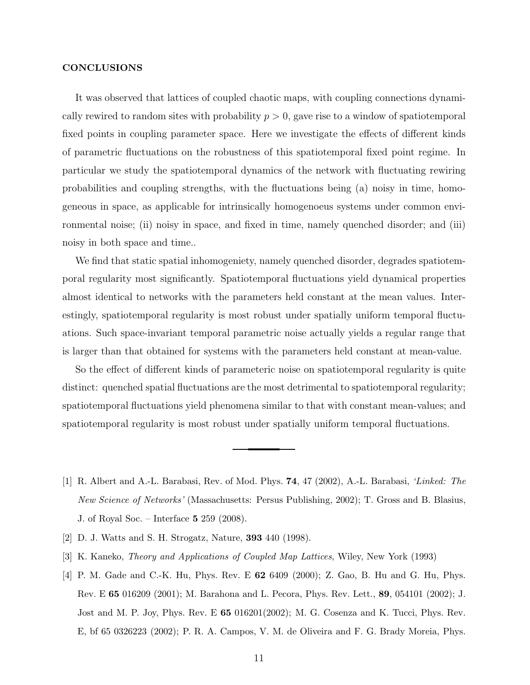#### **CONCLUSIONS**

It was observed that lattices of coupled chaotic maps, with coupling connections dynamically rewired to random sites with probability  $p > 0$ , gave rise to a window of spatiotemporal fixed points in coupling parameter space. Here we investigate the effects of different kinds of parametric fluctuations on the robustness of this spatiotemporal fixed point regime. In particular we study the spatiotemporal dynamics of the network with fluctuating rewiring probabilities and coupling strengths, with the fluctuations being (a) noisy in time, homogeneous in space, as applicable for intrinsically homogenoeus systems under common environmental noise; (ii) noisy in space, and fixed in time, namely quenched disorder; and (iii) noisy in both space and time..

We find that static spatial inhomogeniety, namely quenched disorder, degrades spatiotemporal regularity most significantly. Spatiotemporal fluctuations yield dynamical properties almost identical to networks with the parameters held constant at the mean values. Interestingly, spatiotemporal regularity is most robust under spatially uniform temporal fluctuations. Such space-invariant temporal parametric noise actually yields a regular range that is larger than that obtained for systems with the parameters held constant at mean-value.

So the effect of different kinds of parameteric noise on spatiotemporal regularity is quite distinct: quenched spatial fluctuations are the most detrimental to spatiotemporal regularity; spatiotemporal fluctuations yield phenomena similar to that with constant mean-values; and spatiotemporal regularity is most robust under spatially uniform temporal fluctuations.

- <span id="page-10-1"></span>[1] R. Albert and A.-L. Barabasi, Rev. of Mod. Phys. 74, 47 (2002), A.-L. Barabasi, 'Linked: The New Science of Networks' (Massachusetts: Persus Publishing, 2002); T. Gross and B. Blasius, J. of Royal Soc. – Interface 5 259 (2008).
- <span id="page-10-2"></span>[2] D. J. Watts and S. H. Strogatz, Nature, 393 440 (1998).
- <span id="page-10-0"></span>[3] K. Kaneko, Theory and Applications of Coupled Map Lattices, Wiley, New York (1993)
- <span id="page-10-3"></span>[4] P. M. Gade and C.-K. Hu, Phys. Rev. E 62 6409 (2000); Z. Gao, B. Hu and G. Hu, Phys. Rev. E 65 016209 (2001); M. Barahona and L. Pecora, Phys. Rev. Lett., 89, 054101 (2002); J. Jost and M. P. Joy, Phys. Rev. E 65 016201(2002); M. G. Cosenza and K. Tucci, Phys. Rev. E, bf 65 0326223 (2002); P. R. A. Campos, V. M. de Oliveira and F. G. Brady Moreia, Phys.